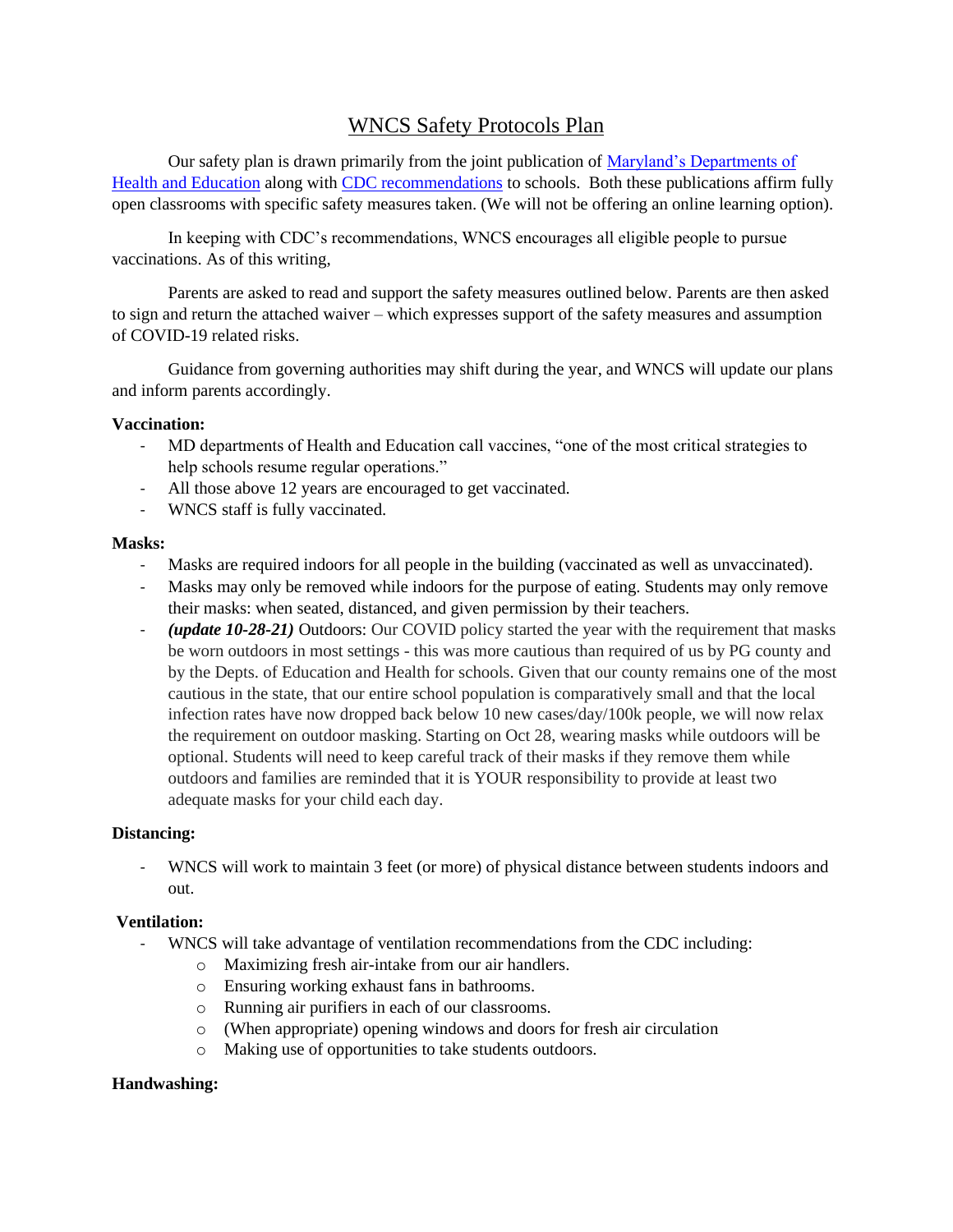# WNCS Safety Protocols Plan

Our safety plan is drawn primarily from the joint publication of Maryland's Departments of [Health and Education](https://earlychildhood.marylandpublicschools.org/system/files/filedepot/3/covid_guidance_full_080420.pdf) along with [CDC recommendations](file://///washnewchurch.local/wncs/shared/faculty/school%20documents/2021-2022/-%09https:/www.cdc.gov/coronavirus/2019-ncov/community/schools-childcare/k-12-guidance.html) to schools. Both these publications affirm fully open classrooms with specific safety measures taken. (We will not be offering an online learning option).

In keeping with CDC's recommendations, WNCS encourages all eligible people to pursue vaccinations. As of this writing,

Parents are asked to read and support the safety measures outlined below. Parents are then asked to sign and return the attached waiver – which expresses support of the safety measures and assumption of COVID-19 related risks.

Guidance from governing authorities may shift during the year, and WNCS will update our plans and inform parents accordingly.

#### **Vaccination:**

- MD departments of Health and Education call vaccines, "one of the most critical strategies to help schools resume regular operations."
- All those above 12 years are encouraged to get vaccinated.
- WNCS staff is fully vaccinated.

#### **Masks:**

- Masks are required indoors for all people in the building (vaccinated as well as unvaccinated).
- Masks may only be removed while indoors for the purpose of eating. Students may only remove their masks: when seated, distanced, and given permission by their teachers.
- *(update 10-28-21)* Outdoors: Our COVID policy started the year with the requirement that masks be worn outdoors in most settings - this was more cautious than required of us by PG county and by the Depts. of Education and Health for schools. Given that our county remains one of the most cautious in the state, that our entire school population is comparatively small and that the local infection rates have now dropped back below 10 new cases/day/100k people, we will now relax the requirement on outdoor masking. Starting on Oct 28, wearing masks while outdoors will be optional. Students will need to keep careful track of their masks if they remove them while outdoors and families are reminded that it is YOUR responsibility to provide at least two adequate masks for your child each day.

#### **Distancing:**

- WNCS will work to maintain 3 feet (or more) of physical distance between students indoors and out.

#### **Ventilation:**

- WNCS will take advantage of ventilation recommendations from the CDC including:
	- o Maximizing fresh air-intake from our air handlers.
	- o Ensuring working exhaust fans in bathrooms.
	- o Running air purifiers in each of our classrooms.
	- o (When appropriate) opening windows and doors for fresh air circulation
	- o Making use of opportunities to take students outdoors.

#### **Handwashing:**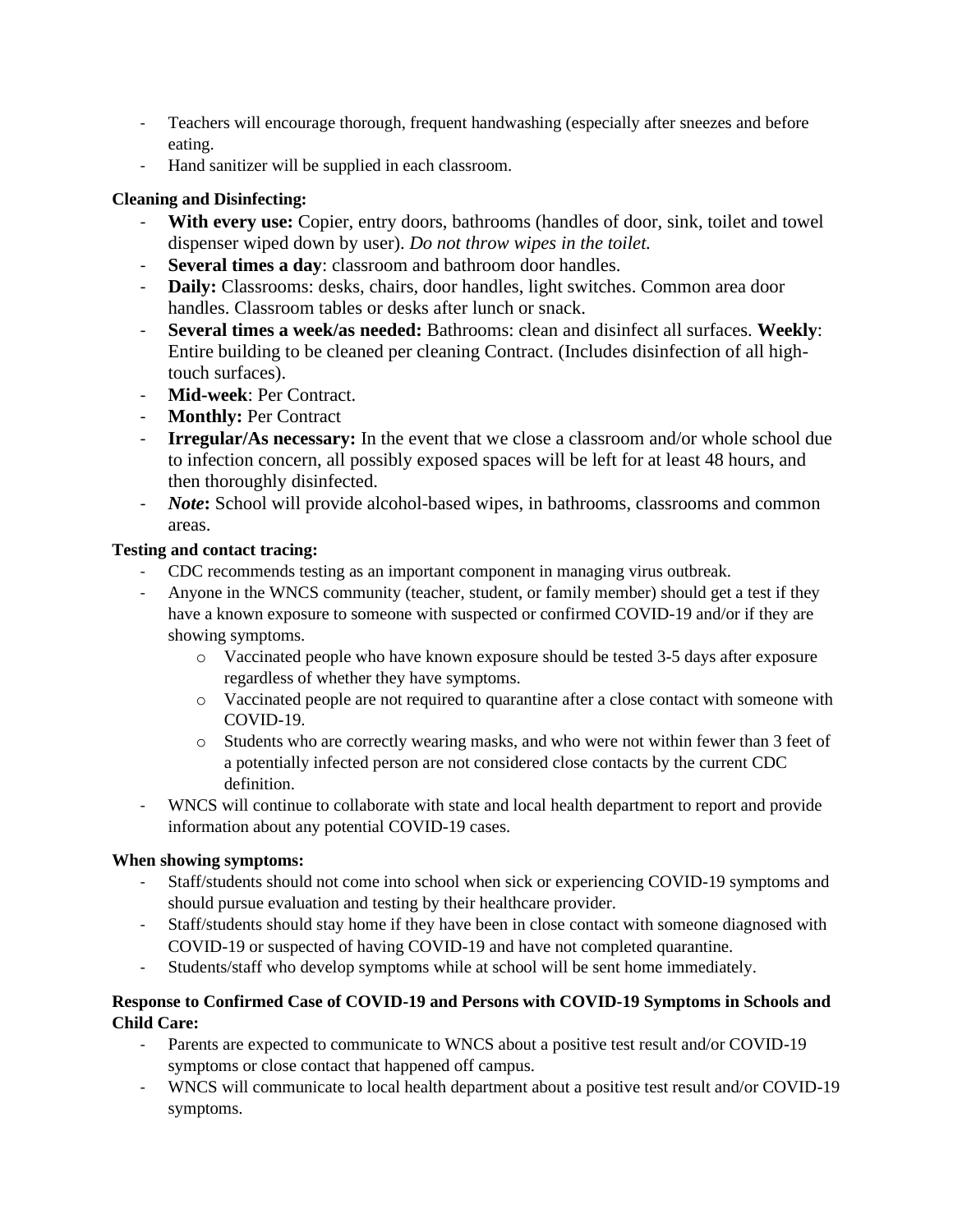- Teachers will encourage thorough, frequent handwashing (especially after sneezes and before eating.
- Hand sanitizer will be supplied in each classroom.

### **Cleaning and Disinfecting:**

- **With every use:** Copier, entry doors, bathrooms (handles of door, sink, toilet and towel dispenser wiped down by user). *Do not throw wipes in the toilet.*
- **Several times a day**: classroom and bathroom door handles.
- **Daily:** Classrooms: desks, chairs, door handles, light switches. Common area door handles. Classroom tables or desks after lunch or snack.
- **Several times a week/as needed:** Bathrooms: clean and disinfect all surfaces. **Weekly**: Entire building to be cleaned per cleaning Contract. (Includes disinfection of all hightouch surfaces).
- **Mid-week**: Per Contract.
- **Monthly:** Per Contract
- **Irregular/As necessary:** In the event that we close a classroom and/or whole school due to infection concern, all possibly exposed spaces will be left for at least 48 hours, and then thoroughly disinfected.
- *Note***:** School will provide alcohol-based wipes, in bathrooms, classrooms and common areas.

### **Testing and contact tracing:**

- CDC recommends testing as an important component in managing virus outbreak.
- Anyone in the WNCS community (teacher, student, or family member) should get a test if they have a known exposure to someone with suspected or confirmed COVID-19 and/or if they are showing symptoms.
	- o Vaccinated people who have known exposure should be tested 3-5 days after exposure regardless of whether they have symptoms.
	- o Vaccinated people are not required to quarantine after a close contact with someone with COVID-19.
	- o Students who are correctly wearing masks, and who were not within fewer than 3 feet of a potentially infected person are not considered close contacts by the current CDC definition.
- WNCS will continue to collaborate with state and local health department to report and provide information about any potential COVID-19 cases.

## **When showing symptoms:**

- Staff/students should not come into school when sick or experiencing COVID-19 symptoms and should pursue evaluation and testing by their healthcare provider.
- Staff/students should stay home if they have been in close contact with someone diagnosed with COVID-19 or suspected of having COVID-19 and have not completed quarantine.
- Students/staff who develop symptoms while at school will be sent home immediately.

### **Response to Confirmed Case of COVID-19 and Persons with COVID-19 Symptoms in Schools and Child Care:**

- Parents are expected to communicate to WNCS about a positive test result and/or COVID-19 symptoms or close contact that happened off campus.
- WNCS will communicate to local health department about a positive test result and/or COVID-19 symptoms.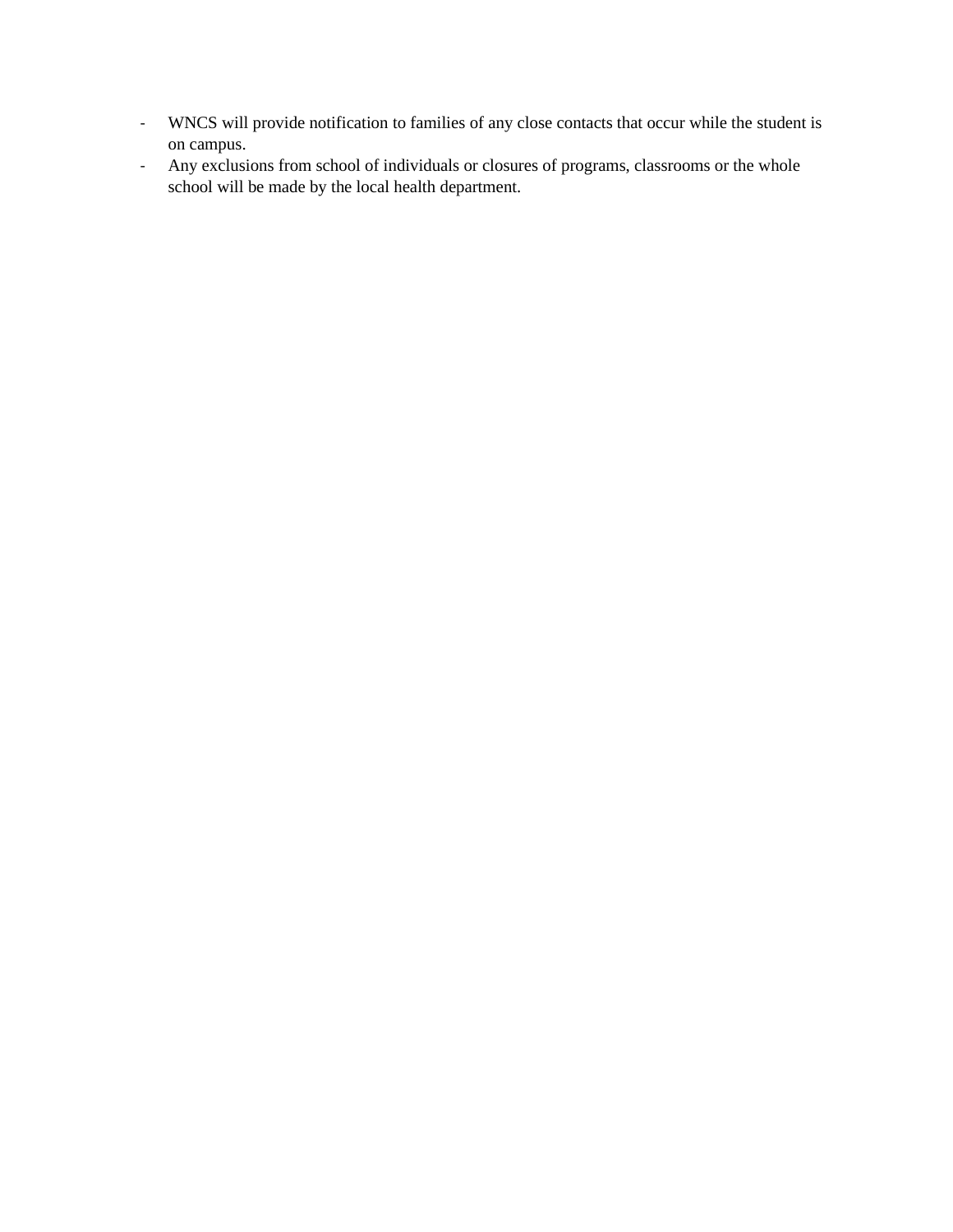- WNCS will provide notification to families of any close contacts that occur while the student is on campus.
- Any exclusions from school of individuals or closures of programs, classrooms or the whole school will be made by the local health department.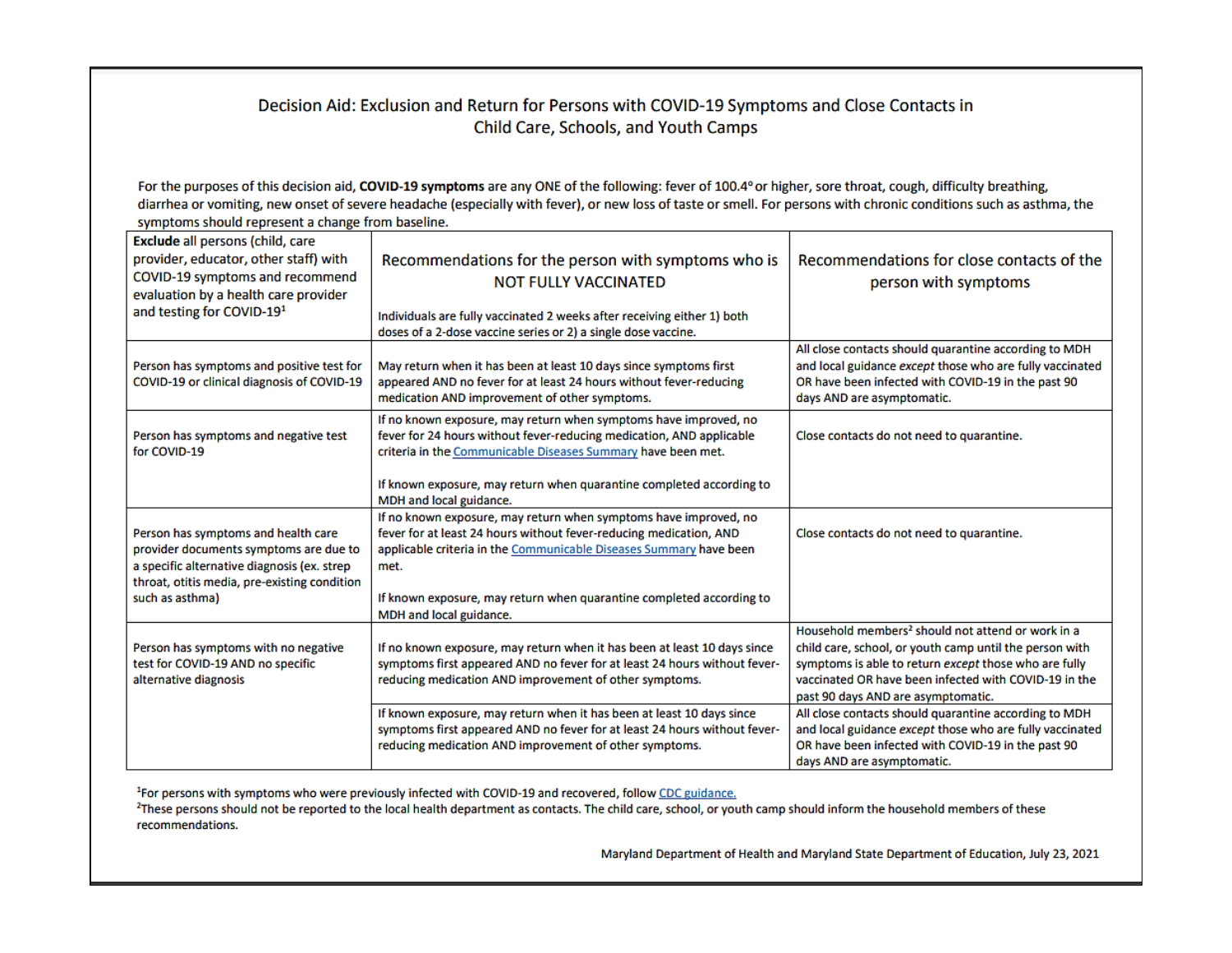### Decision Aid: Exclusion and Return for Persons with COVID-19 Symptoms and Close Contacts in Child Care, Schools, and Youth Camps

For the purposes of this decision aid, COVID-19 symptoms are any ONE of the following: fever of 100.4° or higher, sore throat, cough, difficulty breathing, diarrhea or vomiting, new onset of severe headache (especially with fever), or new loss of taste or smell. For persons with chronic conditions such as asthma, the symptoms should represent a change from baseline.

| Exclude all persons (child, care<br>provider, educator, other staff) with<br>COVID-19 symptoms and recommend<br>evaluation by a health care provider<br>and testing for COVID-19 <sup>1</sup>   | Recommendations for the person with symptoms who is<br><b>NOT FULLY VACCINATED</b><br>Individuals are fully vaccinated 2 weeks after receiving either 1) both<br>doses of a 2-dose vaccine series or 2) a single dose vaccine.                                                                                          | Recommendations for close contacts of the<br>person with symptoms                                                                                                                                                                                                                |
|-------------------------------------------------------------------------------------------------------------------------------------------------------------------------------------------------|-------------------------------------------------------------------------------------------------------------------------------------------------------------------------------------------------------------------------------------------------------------------------------------------------------------------------|----------------------------------------------------------------------------------------------------------------------------------------------------------------------------------------------------------------------------------------------------------------------------------|
| Person has symptoms and positive test for<br>COVID-19 or clinical diagnosis of COVID-19                                                                                                         | May return when it has been at least 10 days since symptoms first<br>appeared AND no fever for at least 24 hours without fever-reducing<br>medication AND improvement of other symptoms.                                                                                                                                | All close contacts should quarantine according to MDH<br>and local guidance except those who are fully vaccinated<br>OR have been infected with COVID-19 in the past 90<br>days AND are asymptomatic.                                                                            |
| Person has symptoms and negative test<br>for COVID-19                                                                                                                                           | If no known exposure, may return when symptoms have improved, no<br>fever for 24 hours without fever-reducing medication, AND applicable<br>criteria in the Communicable Diseases Summary have been met.<br>If known exposure, may return when quarantine completed according to<br>MDH and local guidance.             | Close contacts do not need to quarantine.                                                                                                                                                                                                                                        |
| Person has symptoms and health care<br>provider documents symptoms are due to<br>a specific alternative diagnosis (ex. strep<br>throat, otitis media, pre-existing condition<br>such as asthma) | If no known exposure, may return when symptoms have improved, no<br>fever for at least 24 hours without fever-reducing medication, AND<br>applicable criteria in the Communicable Diseases Summary have been<br>met.<br>If known exposure, may return when quarantine completed according to<br>MDH and local guidance. | Close contacts do not need to quarantine.                                                                                                                                                                                                                                        |
| Person has symptoms with no negative<br>test for COVID-19 AND no specific<br>alternative diagnosis                                                                                              | If no known exposure, may return when it has been at least 10 days since<br>symptoms first appeared AND no fever for at least 24 hours without fever-<br>reducing medication AND improvement of other symptoms.                                                                                                         | Household members <sup>2</sup> should not attend or work in a<br>child care, school, or youth camp until the person with<br>symptoms is able to return except those who are fully<br>vaccinated OR have been infected with COVID-19 in the<br>past 90 days AND are asymptomatic. |
|                                                                                                                                                                                                 | If known exposure, may return when it has been at least 10 days since<br>symptoms first appeared AND no fever for at least 24 hours without fever-<br>reducing medication AND improvement of other symptoms.                                                                                                            | All close contacts should quarantine according to MDH<br>and local guidance except those who are fully vaccinated<br>OR have been infected with COVID-19 in the past 90<br>days AND are asymptomatic.                                                                            |

<sup>1</sup>For persons with symptoms who were previously infected with COVID-19 and recovered, follow CDC guidance.

<sup>2</sup>These persons should not be reported to the local health department as contacts. The child care, school, or youth camp should inform the household members of these recommendations.

Maryland Department of Health and Maryland State Department of Education, July 23, 2021